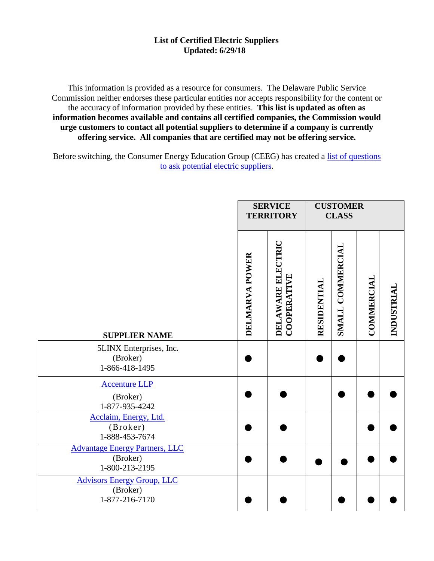This information is provided as a resource for consumers. The Delaware Public Service Commission neither endorses these particular entities nor accepts responsibility for the content or the accuracy of information provided by these entities. **This list is updated as often as information becomes available and contains all certified companies, the Commission would urge customers to contact all potential suppliers to determine if a company is currently offering service. All companies that are certified may not be offering service.**

Before switching, the Consumer Energy Education Group (CEEG) has created a [list of questions](http://www.state.de.us/delpsc/electric/ceeg_supplier_questions.pdf) [to ask potential](http://www.state.de.us/delpsc/electric/ceeg_supplier_questions.pdf) electric suppliers.

|                                                                     | <b>SERVICE</b><br><b>TERRITORY</b> |                                  | <b>CUSTOMER</b><br><b>CLASS</b> |                  |                   |            |
|---------------------------------------------------------------------|------------------------------------|----------------------------------|---------------------------------|------------------|-------------------|------------|
| <b>SUPPLIER NAME</b>                                                | DELMARVA POWER                     | DELAWARE ELECTRIC<br>COOPERATIVE | RESIDENTIAL                     | SMALL COMMERCIAL | <b>COMMERCIAL</b> | INDUSTRIAL |
| 5LINX Enterprises, Inc.<br>(Broker)<br>1-866-418-1495               |                                    |                                  |                                 |                  |                   |            |
| <b>Accenture LLP</b><br>(Broker)<br>1-877-935-4242                  |                                    |                                  |                                 |                  |                   |            |
| Acclaim, Energy, Ltd.<br>(Broker)<br>1-888-453-7674                 |                                    |                                  |                                 |                  |                   |            |
| <b>Advantage Energy Partners, LLC</b><br>(Broker)<br>1-800-213-2195 |                                    |                                  |                                 |                  |                   |            |
| <b>Advisors Energy Group, LLC</b><br>(Broker)<br>1-877-216-7170     |                                    |                                  |                                 |                  |                   |            |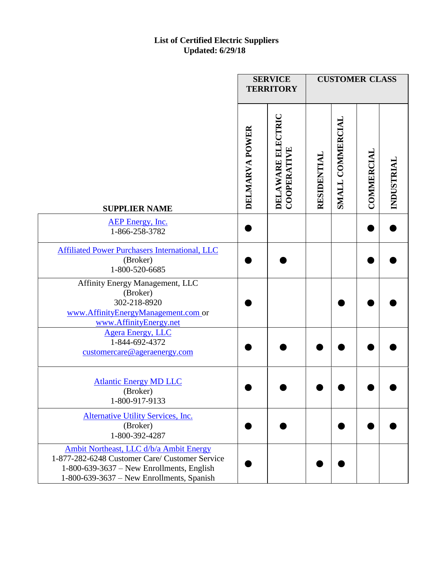|                                                                                                                                                                                         |                | <b>SERVICE</b><br><b>TERRITORY</b>      |             | <b>CUSTOMER CLASS</b> |                   |            |
|-----------------------------------------------------------------------------------------------------------------------------------------------------------------------------------------|----------------|-----------------------------------------|-------------|-----------------------|-------------------|------------|
| <b>SUPPLIER NAME</b>                                                                                                                                                                    | DELMARVA POWER | DELAWARE ELECTRIC<br><b>COOPERATIVE</b> | RESIDENTIAL | SMALL COMMERCIAL      | <b>COMMERCIAL</b> | INDUSTRIAL |
| <b>AEP</b> Energy, Inc.<br>1-866-258-3782                                                                                                                                               |                |                                         |             |                       |                   |            |
| <b>Affiliated Power Purchasers International, LLC</b><br>(Broker)<br>1-800-520-6685                                                                                                     |                |                                         |             |                       |                   |            |
| Affinity Energy Management, LLC<br>(Broker)<br>302-218-8920<br>www.AffinityEnergyManagement.com or<br>www.AffinityEnergy.net                                                            |                |                                         |             |                       |                   |            |
| <b>Agera Energy, LLC</b><br>1-844-692-4372<br>customercare@ageraenergy.com                                                                                                              |                |                                         |             |                       |                   |            |
| <b>Atlantic Energy MD LLC</b><br>(Broker)<br>1-800-917-9133                                                                                                                             |                |                                         |             |                       |                   |            |
| <b>Alternative Utility Services, Inc.</b><br>(Broker)<br>1-800-392-4287                                                                                                                 |                |                                         |             |                       |                   |            |
| Ambit Northeast, LLC d/b/a Ambit Energy<br>1-877-282-6248 Customer Care/ Customer Service<br>$1-800-639-3637$ – New Enrollments, English<br>$1-800-639-3637$ – New Enrollments, Spanish |                |                                         |             |                       |                   |            |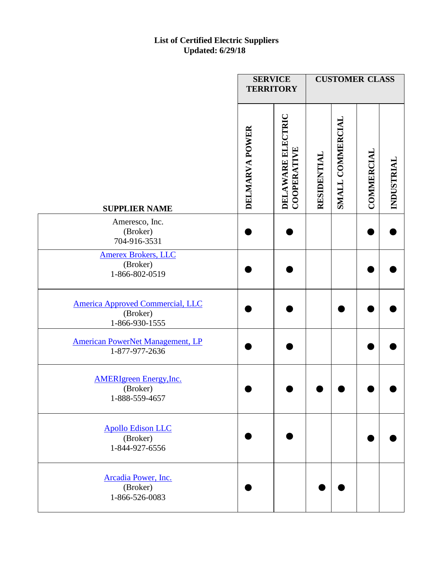|                                                                       | <b>SERVICE</b><br><b>TERRITORY</b> |                                  | <b>CUSTOMER CLASS</b> |                  |                   |            |
|-----------------------------------------------------------------------|------------------------------------|----------------------------------|-----------------------|------------------|-------------------|------------|
| <b>SUPPLIER NAME</b>                                                  | DELMARVA POWER                     | DELAWARE ELECTRIC<br>COOPERATIVE | RESIDENTIAL           | SMALL COMMERCIAL | <b>COMMERCIAL</b> | INDUSTRIAL |
| Ameresco, Inc.<br>(Broker)<br>704-916-3531                            |                                    |                                  |                       |                  |                   |            |
| <b>Amerex Brokers, LLC</b><br>(Broker)<br>1-866-802-0519              |                                    |                                  |                       |                  |                   |            |
| <b>America Approved Commercial, LLC</b><br>(Broker)<br>1-866-930-1555 |                                    |                                  |                       |                  |                   |            |
| <b>American PowerNet Management, LP</b><br>1-877-977-2636             |                                    |                                  |                       |                  |                   |            |
| <b>AMERIgreen Energy, Inc.</b><br>(Broker)<br>1-888-559-4657          |                                    |                                  |                       |                  |                   |            |
| <b>Apollo Edison LLC</b><br>(Broker)<br>1-844-927-6556                |                                    |                                  |                       |                  |                   |            |
| Arcadia Power, Inc.<br>(Broker)<br>1-866-526-0083                     |                                    |                                  |                       |                  |                   |            |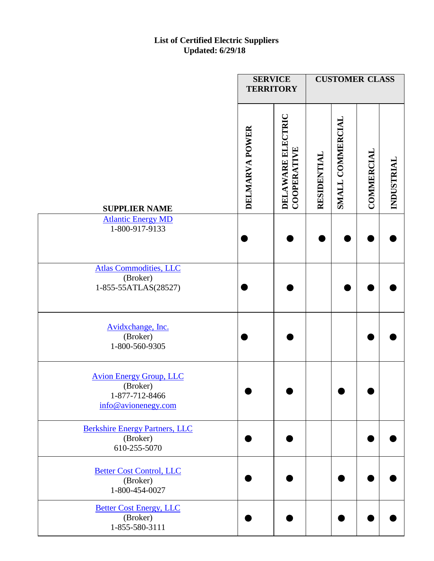|                                                                                     | <b>SERVICE</b><br><b>TERRITORY</b> |                                  |             | <b>CUSTOMER CLASS</b> |                   |            |
|-------------------------------------------------------------------------------------|------------------------------------|----------------------------------|-------------|-----------------------|-------------------|------------|
| <b>SUPPLIER NAME</b>                                                                | DELMARVA POWER                     | DELAWARE ELECTRIC<br>COOPERATIVE | RESIDENTIAL | SMALL COMMERCIAL      | <b>COMMERCIAL</b> | INDUSTRIAL |
| <b>Atlantic Energy MD</b><br>1-800-917-9133                                         |                                    |                                  |             |                       |                   |            |
| <b>Atlas Commodities, LLC</b><br>(Broker)<br>1-855-55ATLAS(28527)                   |                                    |                                  |             |                       |                   |            |
| Avidxchange, Inc.<br>(Broker)<br>1-800-560-9305                                     |                                    |                                  |             |                       |                   |            |
| <b>Avion Energy Group, LLC</b><br>(Broker)<br>1-877-712-8466<br>info@avionenegy.com |                                    |                                  |             |                       |                   |            |
| <b>Berkshire Energy Partners, LLC</b><br>(Broker)<br>610-255-5070                   |                                    |                                  |             |                       |                   |            |
| <b>Better Cost Control, LLC</b><br>(Broker)<br>1-800-454-0027                       |                                    |                                  |             |                       |                   |            |
| <b>Better Cost Energy, LLC</b><br>(Broker)<br>1-855-580-3111                        |                                    |                                  |             |                       |                   |            |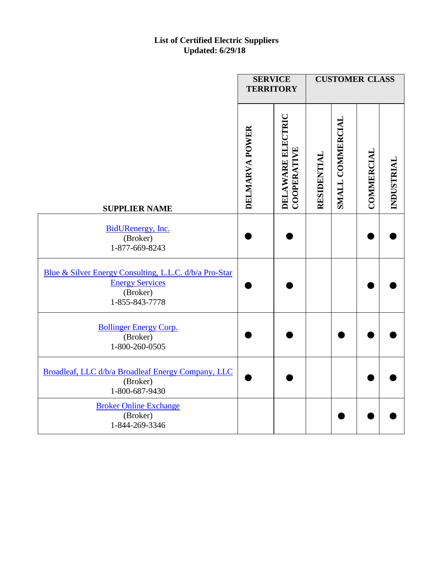|                                                                                                                | <b>SERVICE</b><br><b>TERRITORY</b> |                                                |             | <b>CUSTOMER CLASS</b> |            |            |
|----------------------------------------------------------------------------------------------------------------|------------------------------------|------------------------------------------------|-------------|-----------------------|------------|------------|
| <b>SUPPLIER NAME</b>                                                                                           | DELMARVA POWER                     | <b>DELAWARE ELECTRIC</b><br><b>COOPERATIVE</b> | RESIDENTIAL | SMALL COMMERCIAL      | COMMERCIAL | INDUSTRIAL |
| BidURenergy, Inc.<br>(Broker)<br>1-877-669-8243                                                                |                                    |                                                |             |                       |            |            |
| Blue & Silver Energy Consulting, L.L.C. d/b/a Pro-Star<br><b>Energy Services</b><br>(Broker)<br>1-855-843-7778 |                                    |                                                |             |                       |            |            |
| <b>Bollinger Energy Corp.</b><br>(Broker)<br>1-800-260-0505                                                    |                                    |                                                |             |                       |            |            |
| Broadleaf, LLC d/b/a Broadleaf Energy Company, LLC<br>(Broker)<br>1-800-687-9430                               |                                    |                                                |             |                       |            |            |
| <b>Broker Online Exchange</b><br>(Broker)<br>1-844-269-3346                                                    |                                    |                                                |             |                       |            |            |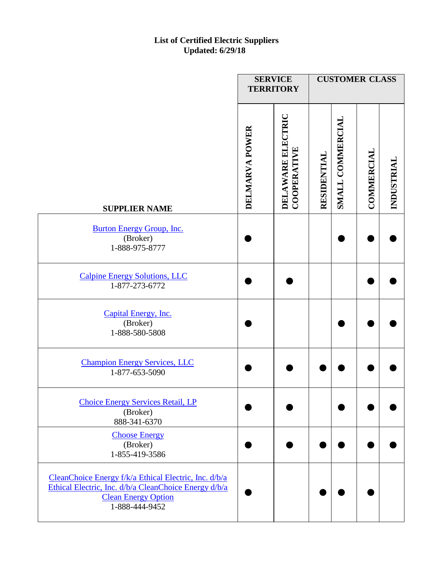|                                                                                                                                                                | <b>SERVICE</b> | <b>TERRITORY</b>                        |             | <b>CUSTOMER CLASS</b> |            |            |
|----------------------------------------------------------------------------------------------------------------------------------------------------------------|----------------|-----------------------------------------|-------------|-----------------------|------------|------------|
| <b>SUPPLIER NAME</b>                                                                                                                                           | DELMARVA POWER | <b>DELAWARE ELECTRIC</b><br>COOPERATIVE | RESIDENTIAL | SMALL COMMERCIAL      | COMMERCIAL | INDUSTRIAL |
| <b>Burton Energy Group, Inc.</b><br>(Broker)<br>1-888-975-8777                                                                                                 |                |                                         |             |                       |            |            |
| <b>Calpine Energy Solutions, LLC</b><br>1-877-273-6772                                                                                                         |                |                                         |             |                       |            |            |
| Capital Energy, Inc.<br>(Broker)<br>1-888-580-5808                                                                                                             |                |                                         |             |                       |            |            |
| <b>Champion Energy Services, LLC</b><br>1-877-653-5090                                                                                                         |                |                                         |             |                       |            |            |
| <b>Choice Energy Services Retail, LP</b><br>(Broker)<br>888-341-6370                                                                                           |                |                                         |             |                       |            |            |
| <b>Choose Energy</b><br>(Broker)<br>1-855-419-3586                                                                                                             |                |                                         |             |                       |            |            |
| CleanChoice Energy f/k/a Ethical Electric, Inc. d/b/a<br>Ethical Electric, Inc. d/b/a CleanChoice Energy d/b/a<br><b>Clean Energy Option</b><br>1-888-444-9452 |                |                                         |             |                       |            |            |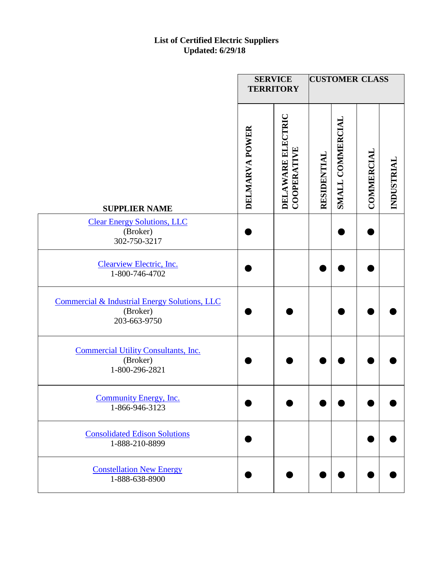|                                                                           | <b>SERVICE</b><br><b>TERRITORY</b> |                                         | <b>CUSTOMER CLASS</b> |                  |            |            |
|---------------------------------------------------------------------------|------------------------------------|-----------------------------------------|-----------------------|------------------|------------|------------|
| <b>SUPPLIER NAME</b>                                                      | DELMARVA POWER                     | DELAWARE ELECTRIC<br><b>COOPERATIVE</b> | RESIDENTIAL           | SMALL COMMERCIAL | COMMERCIAL | INDUSTRIAL |
| <b>Clear Energy Solutions, LLC</b><br>(Broker)<br>302-750-3217            |                                    |                                         |                       |                  |            |            |
| Clearview Electric, Inc.<br>1-800-746-4702                                |                                    |                                         |                       |                  |            |            |
| Commercial & Industrial Energy Solutions, LLC<br>(Broker)<br>203-663-9750 |                                    |                                         |                       |                  |            |            |
| <b>Commercial Utility Consultants, Inc.</b><br>(Broker)<br>1-800-296-2821 |                                    |                                         |                       |                  |            |            |
| <b>Community Energy, Inc.</b><br>1-866-946-3123                           |                                    |                                         |                       |                  |            |            |
| <b>Consolidated Edison Solutions</b><br>1-888-210-8899                    |                                    |                                         |                       |                  |            |            |
| <b>Constellation New Energy</b><br>1-888-638-8900                         |                                    |                                         |                       |                  |            |            |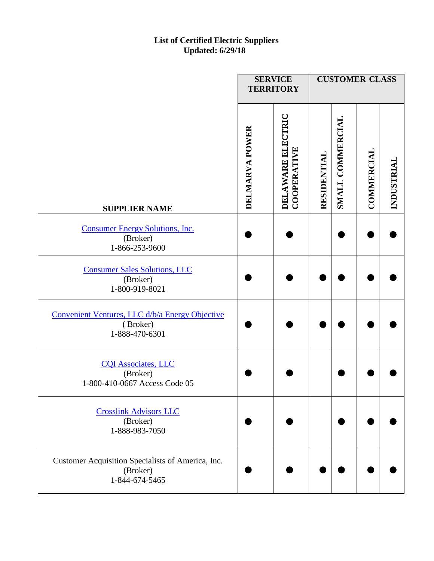|                                                                                 | <b>SERVICE</b><br><b>TERRITORY</b> |                                         |             | <b>CUSTOMER CLASS</b> |            |            |
|---------------------------------------------------------------------------------|------------------------------------|-----------------------------------------|-------------|-----------------------|------------|------------|
| <b>SUPPLIER NAME</b>                                                            | DELMARVA POWER                     | <b>DELAWARE ELECTRIC</b><br>COOPERATIVE | RESIDENTIAL | SMALL COMMERCIAL      | COMMERCIAL | INDUSTRIAL |
| <b>Consumer Energy Solutions, Inc.</b><br>(Broker)<br>1-866-253-9600            |                                    |                                         |             |                       |            |            |
| <b>Consumer Sales Solutions, LLC</b><br>(Broker)<br>1-800-919-8021              |                                    |                                         |             |                       |            |            |
| Convenient Ventures, LLC d/b/a Energy Objective<br>(Broker)<br>1-888-470-6301   |                                    |                                         |             |                       |            |            |
| <b>CQI Associates, LLC</b><br>(Broker)<br>1-800-410-0667 Access Code 05         |                                    |                                         |             |                       |            |            |
| <b>Crosslink Advisors LLC</b><br>(Broker)<br>1-888-983-7050                     |                                    |                                         |             |                       |            |            |
| Customer Acquisition Specialists of America, Inc.<br>(Broker)<br>1-844-674-5465 |                                    |                                         |             |                       |            |            |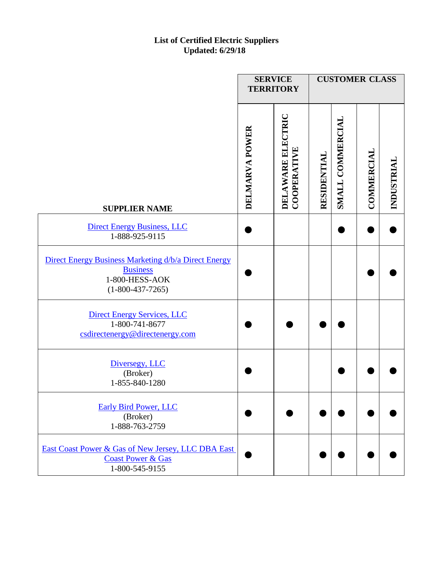|                                                                                                                 | <b>SERVICE</b><br><b>TERRITORY</b> |                                         |             | <b>CUSTOMER CLASS</b> |            |            |
|-----------------------------------------------------------------------------------------------------------------|------------------------------------|-----------------------------------------|-------------|-----------------------|------------|------------|
| <b>SUPPLIER NAME</b>                                                                                            | DELMARVA POWER                     | <b>DELAWARE ELECTRIC</b><br>COOPERATIVE | RESIDENTIAL | SMALL COMMERCIAL      | COMMERCIAL | INDUSTRIAL |
| <b>Direct Energy Business, LLC</b><br>1-888-925-9115                                                            |                                    |                                         |             |                       |            |            |
| Direct Energy Business Marketing d/b/a Direct Energy<br><b>Business</b><br>1-800-HESS-AOK<br>$(1-800-437-7265)$ |                                    |                                         |             |                       |            |            |
| <b>Direct Energy Services, LLC</b><br>1-800-741-8677<br>csdirectenergy@directenergy.com                         |                                    |                                         |             |                       |            |            |
| Diversegy, LLC<br>(Broker)<br>1-855-840-1280                                                                    |                                    |                                         |             |                       |            |            |
| <b>Early Bird Power, LLC</b><br>(Broker)<br>1-888-763-2759                                                      |                                    |                                         |             |                       |            |            |
| East Coast Power & Gas of New Jersey, LLC DBA East<br><b>Coast Power &amp; Gas</b><br>1-800-545-9155            |                                    |                                         |             |                       |            |            |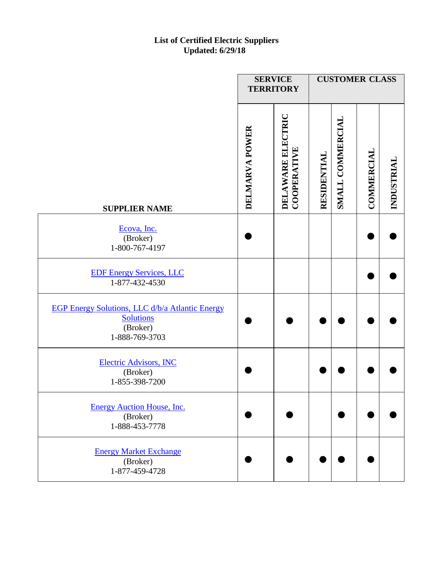|                                                                                                   | <b>SERVICE</b><br><b>TERRITORY</b> |                                  |             | <b>CUSTOMER CLASS</b> |            |            |
|---------------------------------------------------------------------------------------------------|------------------------------------|----------------------------------|-------------|-----------------------|------------|------------|
| <b>SUPPLIER NAME</b>                                                                              | DELMARVA POWER                     | DELAWARE ELECTRIC<br>COOPERATIVE | RESIDENTIAL | SMALL COMMERCIAL      | COMMERCIAL | INDUSTRIAL |
| Ecova, Inc.<br>(Broker)<br>1-800-767-4197                                                         |                                    |                                  |             |                       |            |            |
| <b>EDF Energy Services, LLC</b><br>1-877-432-4530                                                 |                                    |                                  |             |                       |            |            |
| EGP Energy Solutions, LLC d/b/a Atlantic Energy<br><b>Solutions</b><br>(Broker)<br>1-888-769-3703 |                                    |                                  |             |                       |            |            |
| <b>Electric Advisors, INC</b><br>(Broker)<br>1-855-398-7200                                       |                                    |                                  |             |                       |            |            |
| <b>Energy Auction House, Inc.</b><br>(Broker)<br>1-888-453-7778                                   |                                    |                                  |             |                       |            |            |
| <b>Energy Market Exchange</b><br>(Broker)<br>1-877-459-4728                                       |                                    |                                  |             |                       |            |            |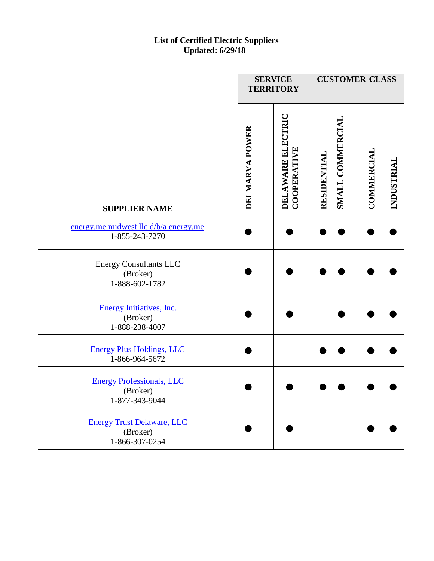|                                                                 | <b>SERVICE</b><br><b>TERRITORY</b> |                                  |             | <b>CUSTOMER CLASS</b> |                   |            |
|-----------------------------------------------------------------|------------------------------------|----------------------------------|-------------|-----------------------|-------------------|------------|
| <b>SUPPLIER NAME</b>                                            | DELMARVA POWER                     | DELAWARE ELECTRIC<br>COOPERATIVE | RESIDENTIAL | SMALL COMMERCIAL      | <b>COMMERCIAL</b> | INDUSTRIAL |
| energy.me midwest llc d/b/a energy.me<br>1-855-243-7270         |                                    |                                  |             |                       |                   |            |
| <b>Energy Consultants LLC</b><br>(Broker)<br>1-888-602-1782     |                                    |                                  |             |                       |                   |            |
| <b>Energy Initiatives, Inc.</b><br>(Broker)<br>1-888-238-4007   |                                    |                                  |             |                       |                   |            |
| <b>Energy Plus Holdings, LLC</b><br>1-866-964-5672              |                                    |                                  |             |                       |                   |            |
| <b>Energy Professionals, LLC</b><br>(Broker)<br>1-877-343-9044  |                                    |                                  |             |                       |                   |            |
| <b>Energy Trust Delaware, LLC</b><br>(Broker)<br>1-866-307-0254 |                                    |                                  |             |                       |                   |            |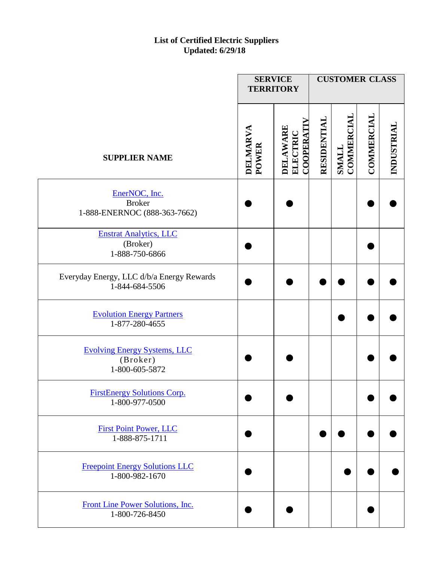|                                                                   |                   | <b>SERVICE</b><br><b>TERRITORY</b>              |             | <b>CUSTOMER CLASS</b> |            |            |
|-------------------------------------------------------------------|-------------------|-------------------------------------------------|-------------|-----------------------|------------|------------|
| <b>SUPPLIER NAME</b>                                              | DELMARVA<br>POWER | <b>COOPERATI</b><br><b>DELAWARE</b><br>ELECTRIC | RESIDENTIAI | COMMERCIA<br>SMALL    | COMMERCIAL | INDUSTRIAL |
| EnerNOC, Inc.<br><b>Broker</b><br>1-888-ENERNOC (888-363-7662)    |                   |                                                 |             |                       |            |            |
| <b>Enstrat Analytics, LLC</b><br>(Broker)<br>1-888-750-6866       |                   |                                                 |             |                       |            |            |
| Everyday Energy, LLC d/b/a Energy Rewards<br>1-844-684-5506       |                   |                                                 |             |                       |            |            |
| <b>Evolution Energy Partners</b><br>1-877-280-4655                |                   |                                                 |             |                       |            |            |
| <b>Evolving Energy Systems, LLC</b><br>(Broker)<br>1-800-605-5872 |                   |                                                 |             |                       |            |            |
| <b>FirstEnergy Solutions Corp.</b><br>1-800-977-0500              |                   |                                                 |             |                       |            |            |
| <b>First Point Power, LLC</b><br>1-888-875-1711                   |                   |                                                 |             |                       |            |            |
| <b>Freepoint Energy Solutions LLC</b><br>1-800-982-1670           |                   |                                                 |             |                       |            |            |
| Front Line Power Solutions, Inc.<br>1-800-726-8450                |                   |                                                 |             |                       |            |            |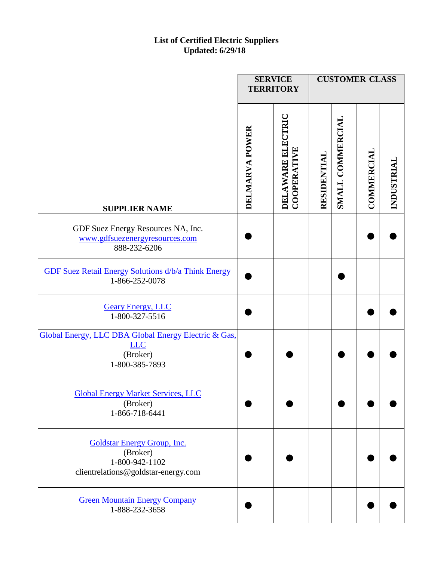|                                                                                                  | <b>SERVICE</b><br><b>TERRITORY</b> |                                  |             | <b>CUSTOMER CLASS</b> |                   |            |
|--------------------------------------------------------------------------------------------------|------------------------------------|----------------------------------|-------------|-----------------------|-------------------|------------|
| <b>SUPPLIER NAME</b>                                                                             | DELMARVA POWER                     | DELAWARE ELECTRIC<br>COOPERATIVE | RESIDENTIAL | SMALL COMMERCIAL      | <b>COMMERCIAL</b> | INDUSTRIAL |
| GDF Suez Energy Resources NA, Inc.<br>www.gdfsuezenergyresources.com<br>888-232-6206             |                                    |                                  |             |                       |                   |            |
| <b>GDF Suez Retail Energy Solutions d/b/a Think Energy</b><br>1-866-252-0078                     |                                    |                                  |             |                       |                   |            |
| <b>Geary Energy, LLC</b><br>1-800-327-5516                                                       |                                    |                                  |             |                       |                   |            |
| Global Energy, LLC DBA Global Energy Electric & Gas,<br><b>LLC</b><br>(Broker)<br>1-800-385-7893 |                                    |                                  |             |                       |                   |            |
| <b>Global Energy Market Services, LLC</b><br>(Broker)<br>1-866-718-6441                          |                                    |                                  |             |                       |                   |            |
| Goldstar Energy Group, Inc.<br>(Broker)<br>1-800-942-1102<br>clientrelations@goldstar-energy.com |                                    |                                  |             |                       |                   |            |
| <b>Green Mountain Energy Company</b><br>1-888-232-3658                                           |                                    |                                  |             |                       |                   |            |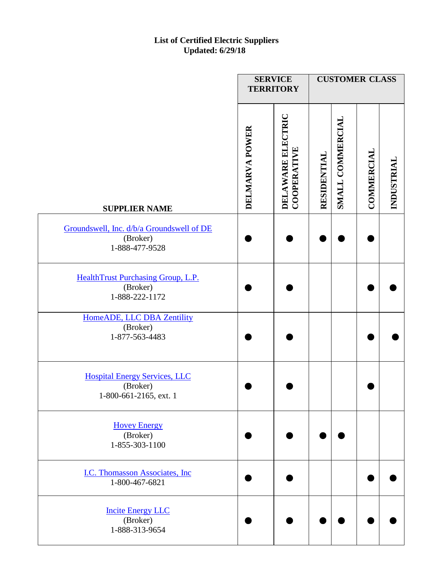|                                                                            | <b>SERVICE</b> | <b>TERRITORY</b>                 |             | <b>CUSTOMER CLASS</b> |                   |            |
|----------------------------------------------------------------------------|----------------|----------------------------------|-------------|-----------------------|-------------------|------------|
| <b>SUPPLIER NAME</b>                                                       | DELMARVA POWER | DELAWARE ELECTRIC<br>COOPERATIVE | RESIDENTIAL | SMALL COMMERCIAL      | <b>COMMERCIAL</b> | INDUSTRIAL |
| Groundswell, Inc. d/b/a Groundswell of DE<br>(Broker)<br>1-888-477-9528    |                |                                  |             |                       |                   |            |
| HealthTrust Purchasing Group, L.P.<br>(Broker)<br>1-888-222-1172           |                |                                  |             |                       |                   |            |
| HomeADE, LLC DBA Zentility<br>(Broker)<br>1-877-563-4483                   |                |                                  |             |                       |                   |            |
| <b>Hospital Energy Services, LLC</b><br>(Broker)<br>1-800-661-2165, ext. 1 |                |                                  |             |                       |                   |            |
| <b>Hovey Energy</b><br>(Broker)<br>1-855-303-1100                          |                |                                  |             |                       |                   |            |
| I.C. Thomasson Associates, Inc.<br>1-800-467-6821                          |                |                                  |             |                       |                   |            |
| <b>Incite Energy LLC</b><br>(Broker)<br>1-888-313-9654                     |                |                                  |             |                       |                   |            |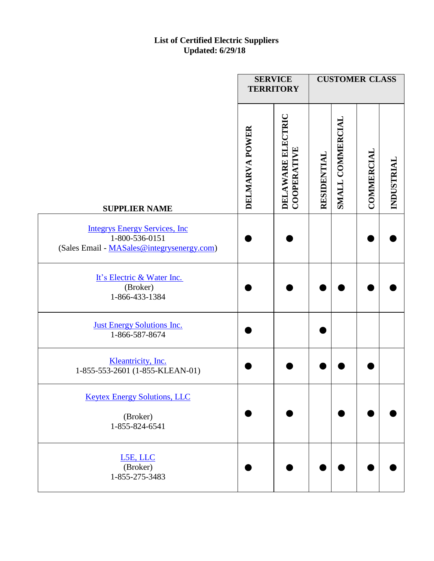|                                                                                                       | <b>SERVICE</b><br><b>TERRITORY</b> |                                  |             | <b>CUSTOMER CLASS</b> |            |            |
|-------------------------------------------------------------------------------------------------------|------------------------------------|----------------------------------|-------------|-----------------------|------------|------------|
| <b>SUPPLIER NAME</b>                                                                                  | DELMARVA POWER                     | DELAWARE ELECTRIC<br>COOPERATIVE | RESIDENTIAL | SMALL COMMERCIAL      | COMMERCIAL | INDUSTRIAL |
| <b>Integrys Energy Services, Inc.</b><br>1-800-536-0151<br>(Sales Email - MASales@integrysenergy.com) |                                    |                                  |             |                       |            |            |
| It's Electric & Water Inc.<br>(Broker)<br>1-866-433-1384                                              |                                    |                                  |             |                       |            |            |
| <b>Just Energy Solutions Inc.</b><br>1-866-587-8674                                                   |                                    |                                  |             |                       |            |            |
| Kleantricity, Inc.<br>1-855-553-2601 (1-855-KLEAN-01)                                                 |                                    |                                  |             |                       |            |            |
| <b>Keytex Energy Solutions, LLC</b><br>(Broker)<br>1-855-824-6541                                     |                                    |                                  |             |                       |            |            |
| L5E, LLC<br>(Broker)<br>1-855-275-3483                                                                |                                    |                                  |             |                       |            |            |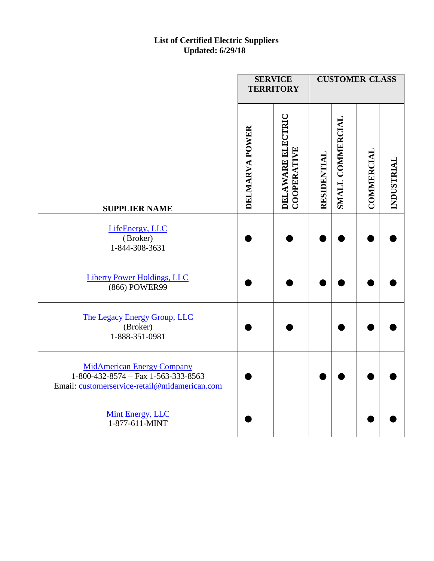|                                                                                                                           | <b>SERVICE</b><br><b>TERRITORY</b> |                                         |             | <b>CUSTOMER CLASS</b> |                   |            |
|---------------------------------------------------------------------------------------------------------------------------|------------------------------------|-----------------------------------------|-------------|-----------------------|-------------------|------------|
| <b>SUPPLIER NAME</b>                                                                                                      | DELMARVA POWER                     | DELAWARE ELECTRIC<br><b>COOPERATIVE</b> | RESIDENTIAL | SMALL COMMERCIAL      | <b>COMMERCIAL</b> | INDUSTRIAL |
| LifeEnergy, LLC<br>(Broker)<br>1-844-308-3631                                                                             |                                    |                                         |             |                       |                   |            |
| <b>Liberty Power Holdings, LLC</b><br>(866) POWER99                                                                       |                                    |                                         |             |                       |                   |            |
| The Legacy Energy Group, LLC<br>(Broker)<br>1-888-351-0981                                                                |                                    |                                         |             |                       |                   |            |
| <b>MidAmerican Energy Company</b><br>1-800-432-8574 - Fax 1-563-333-8563<br>Email: customerservice-retail@midamerican.com |                                    |                                         |             |                       |                   |            |
| Mint Energy, LLC<br>1-877-611-MINT                                                                                        |                                    |                                         |             |                       |                   |            |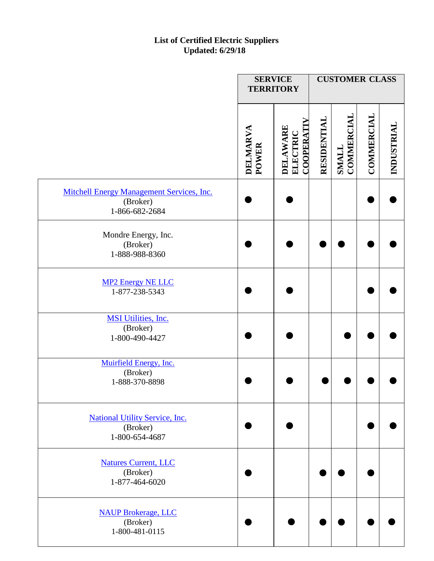|                                                                                | <b>SERVICE</b><br><b>TERRITORY</b> |                                                 |             | <b>CUSTOMER CLASS</b>      |            |            |
|--------------------------------------------------------------------------------|------------------------------------|-------------------------------------------------|-------------|----------------------------|------------|------------|
|                                                                                | DELMARVA<br><b>POWER</b>           | <b>COOPERATI</b><br><b>DELAWARE</b><br>ELECTRIC | RESIDENTIAL | COMMERCIAI<br><b>SMALL</b> | COMMERCIAL | INDUSTRIAL |
| <b>Mitchell Energy Management Services, Inc.</b><br>(Broker)<br>1-866-682-2684 |                                    |                                                 |             |                            |            |            |
| Mondre Energy, Inc.<br>(Broker)<br>1-888-988-8360                              |                                    |                                                 |             |                            |            |            |
| <b>MP2 Energy NE LLC</b><br>1-877-238-5343                                     |                                    |                                                 |             |                            |            |            |
| <b>MSI Utilities, Inc.</b><br>(Broker)<br>1-800-490-4427                       |                                    |                                                 |             |                            |            |            |
| Muirfield Energy, Inc.<br>(Broker)<br>1-888-370-8898                           |                                    |                                                 |             |                            |            |            |
| <b>National Utility Service, Inc.</b><br>(Broker)<br>1-800-654-4687            |                                    |                                                 |             |                            |            |            |
| <b>Natures Current, LLC</b><br>(Broker)<br>1-877-464-6020                      |                                    |                                                 |             |                            |            |            |
| <b>NAUP Brokerage, LLC</b><br>(Broker)<br>1-800-481-0115                       |                                    |                                                 |             |                            |            |            |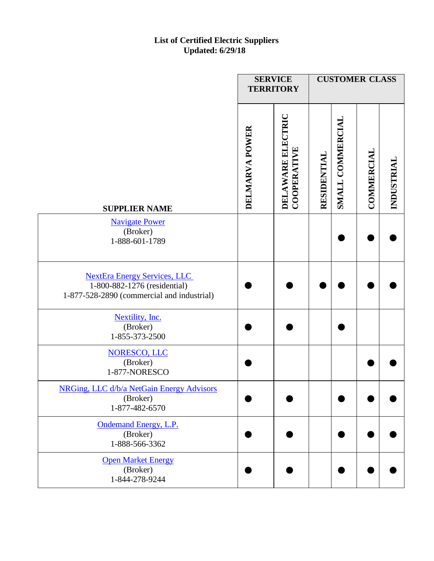|                                                                                                                   | <b>SERVICE</b><br><b>TERRITORY</b> |                                  |             | <b>CUSTOMER CLASS</b> |                   |            |
|-------------------------------------------------------------------------------------------------------------------|------------------------------------|----------------------------------|-------------|-----------------------|-------------------|------------|
| <b>SUPPLIER NAME</b>                                                                                              | DELMARVA POWER                     | DELAWARE ELECTRIC<br>COOPERATIVE | RESIDENTIAL | SMALL COMMERCIAL      | <b>COMMERCIAL</b> | INDUSTRIAL |
| <b>Navigate Power</b><br>(Broker)<br>1-888-601-1789                                                               |                                    |                                  |             |                       |                   |            |
| <b>NextEra Energy Services, LLC</b><br>1-800-882-1276 (residential)<br>1-877-528-2890 (commercial and industrial) |                                    |                                  |             |                       |                   |            |
| Nextility, Inc.<br>(Broker)<br>1-855-373-2500                                                                     |                                    |                                  |             |                       |                   |            |
| <b>NORESCO, LLC</b><br>(Broker)<br>1-877-NORESCO                                                                  |                                    |                                  |             |                       |                   |            |
| NRGing, LLC d/b/a NetGain Energy Advisors<br>(Broker)<br>1-877-482-6570                                           |                                    |                                  |             |                       |                   |            |
| Ondemand Energy, L.P.<br>(Broker)<br>1-888-566-3362                                                               |                                    |                                  |             |                       |                   |            |
| <b>Open Market Energy</b><br>(Broker)<br>1-844-278-9244                                                           |                                    |                                  |             |                       |                   |            |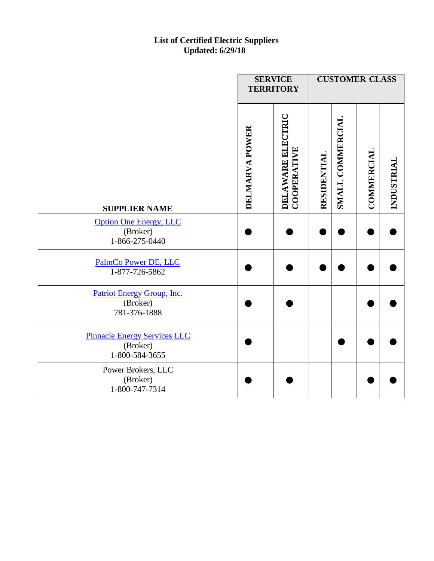|                                                                   | <b>SERVICE</b><br><b>TERRITORY</b> |                                         |             | <b>CUSTOMER CLASS</b> |                   |            |
|-------------------------------------------------------------------|------------------------------------|-----------------------------------------|-------------|-----------------------|-------------------|------------|
| <b>SUPPLIER NAME</b>                                              | DELMARVA POWER                     | DELAWARE ELECTRIC<br><b>COOPERATIVE</b> | RESIDENTIAL | SMALL COMMERCIAL      | <b>COMMERCIAL</b> | INDUSTRIAL |
| <b>Option One Energy, LLC</b><br>(Broker)<br>1-866-275-0440       |                                    |                                         |             |                       |                   |            |
| PalmCo Power DE, LLC<br>1-877-726-5862                            |                                    |                                         |             |                       |                   |            |
| Patriot Energy Group, Inc.<br>(Broker)<br>781-376-1888            |                                    |                                         |             |                       |                   |            |
| <b>Pinnacle Energy Services LLC</b><br>(Broker)<br>1-800-584-3655 |                                    |                                         |             |                       |                   |            |
| Power Brokers, LLC<br>(Broker)<br>1-800-747-7314                  |                                    |                                         |             |                       |                   |            |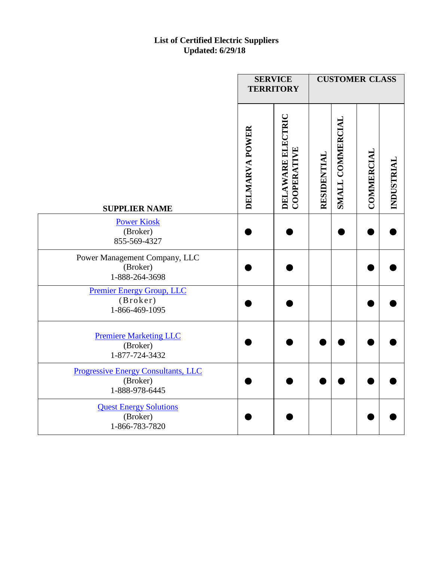|                                                                          | <b>SERVICE</b><br><b>TERRITORY</b> |                                         |             | <b>CUSTOMER CLASS</b> |            |            |
|--------------------------------------------------------------------------|------------------------------------|-----------------------------------------|-------------|-----------------------|------------|------------|
| <b>SUPPLIER NAME</b>                                                     | DELMARVA POWER                     | DELAWARE ELECTRIC<br><b>COOPERATIVE</b> | RESIDENTIAL | SMALL COMMERCIAL      | COMMERCIAL | INDUSTRIAL |
| <b>Power Kiosk</b><br>(Broker)<br>855-569-4327                           |                                    |                                         |             |                       |            |            |
| Power Management Company, LLC<br>(Broker)<br>1-888-264-3698              |                                    |                                         |             |                       |            |            |
| <b>Premier Energy Group, LLC</b><br>(Broker)<br>1-866-469-1095           |                                    |                                         |             |                       |            |            |
| <b>Premiere Marketing LLC</b><br>(Broker)<br>1-877-724-3432              |                                    |                                         |             |                       |            |            |
| <b>Progressive Energy Consultants, LLC</b><br>(Broker)<br>1-888-978-6445 |                                    |                                         |             |                       |            |            |
| <b>Quest Energy Solutions</b><br>(Broker)<br>1-866-783-7820              |                                    |                                         |             |                       |            |            |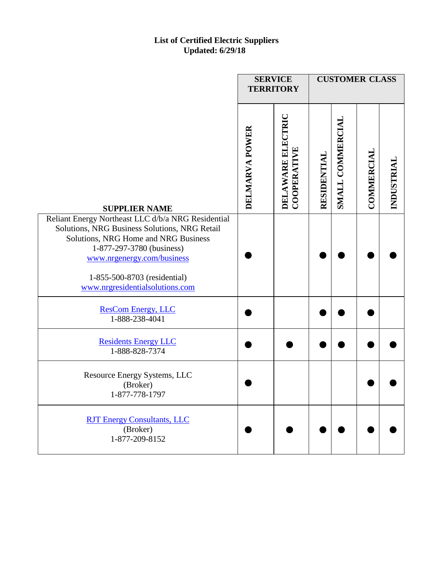|                                                                                                                                                                                                                                                                           | <b>SERVICE</b><br><b>TERRITORY</b> |                                                |             | <b>CUSTOMER CLASS</b> |                   |            |
|---------------------------------------------------------------------------------------------------------------------------------------------------------------------------------------------------------------------------------------------------------------------------|------------------------------------|------------------------------------------------|-------------|-----------------------|-------------------|------------|
| <b>SUPPLIER NAME</b>                                                                                                                                                                                                                                                      | DELMARVA POWER                     | <b>DELAWARE ELECTRIC</b><br><b>COOPERATIVE</b> | RESIDENTIAL | SMALL COMMERCIAL      | <b>COMMERCIAL</b> | INDUSTRIAL |
| Reliant Energy Northeast LLC d/b/a NRG Residential<br>Solutions, NRG Business Solutions, NRG Retail<br>Solutions, NRG Home and NRG Business<br>1-877-297-3780 (business)<br>www.nrgenergy.com/business<br>1-855-500-8703 (residential)<br>www.nrgresidentialsolutions.com |                                    |                                                |             |                       |                   |            |
| <b>ResCom Energy, LLC</b><br>1-888-238-4041                                                                                                                                                                                                                               |                                    |                                                |             |                       |                   |            |
| <b>Residents Energy LLC</b><br>1-888-828-7374                                                                                                                                                                                                                             |                                    |                                                |             |                       |                   |            |
| Resource Energy Systems, LLC<br>(Broker)<br>1-877-778-1797                                                                                                                                                                                                                |                                    |                                                |             |                       |                   |            |
| <b>RJT Energy Consultants, LLC</b><br>(Broker)<br>1-877-209-8152                                                                                                                                                                                                          |                                    |                                                |             |                       |                   |            |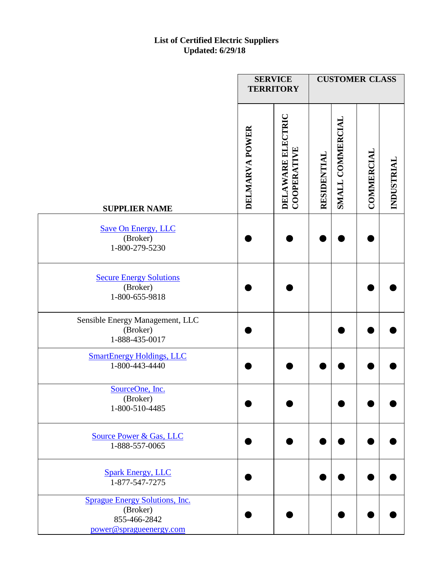|                                                                                              | <b>SERVICE</b><br><b>TERRITORY</b> |                                         | <b>CUSTOMER CLASS</b> |                  |                   |            |
|----------------------------------------------------------------------------------------------|------------------------------------|-----------------------------------------|-----------------------|------------------|-------------------|------------|
| <b>SUPPLIER NAME</b>                                                                         | DELMARVA POWER                     | DELAWARE ELECTRIC<br><b>COOPERATIVE</b> | RESIDENTIAL           | SMALL COMMERCIAL | <b>COMMERCIAL</b> | INDUSTRIAL |
| <b>Save On Energy, LLC</b><br>(Broker)<br>1-800-279-5230                                     |                                    |                                         |                       |                  |                   |            |
| <b>Secure Energy Solutions</b><br>(Broker)<br>1-800-655-9818                                 |                                    |                                         |                       |                  |                   |            |
| Sensible Energy Management, LLC<br>(Broker)<br>1-888-435-0017                                |                                    |                                         |                       |                  |                   |            |
| <b>SmartEnergy Holdings, LLC</b><br>1-800-443-4440                                           |                                    |                                         |                       |                  |                   |            |
| SourceOne, Inc.<br>(Broker)<br>1-800-510-4485                                                |                                    |                                         |                       |                  |                   |            |
| <b>Source Power &amp; Gas, LLC</b><br>1-888-557-0065                                         |                                    |                                         |                       |                  |                   |            |
| <b>Spark Energy, LLC</b><br>1-877-547-7275                                                   |                                    |                                         |                       |                  |                   |            |
| <b>Sprague Energy Solutions, Inc.</b><br>(Broker)<br>855-466-2842<br>power@spragueenergy.com |                                    |                                         |                       |                  |                   |            |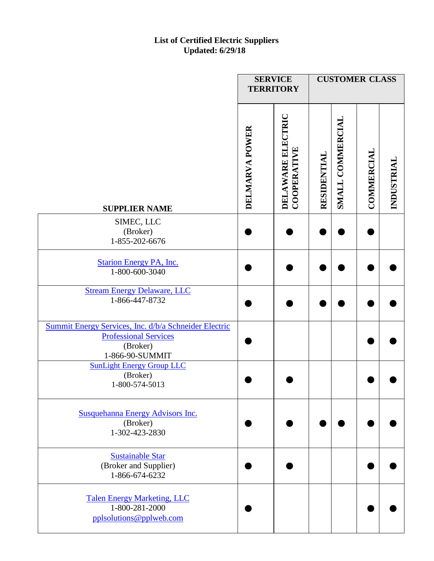|                                                                                                                      | <b>SERVICE</b><br><b>TERRITORY</b> |                                         |             | <b>CUSTOMER CLASS</b> |                   |            |
|----------------------------------------------------------------------------------------------------------------------|------------------------------------|-----------------------------------------|-------------|-----------------------|-------------------|------------|
| <b>SUPPLIER NAME</b>                                                                                                 | DELMARVA POWER                     | DELAWARE ELECTRIC<br><b>COOPERATIVE</b> | RESIDENTIAL | SMALL COMMERCIAL      | <b>COMMERCIAL</b> | INDUSTRIAL |
| SIMEC, LLC<br>(Broker)<br>1-855-202-6676                                                                             |                                    |                                         |             |                       |                   |            |
| <b>Starion Energy PA, Inc.</b><br>1-800-600-3040                                                                     |                                    |                                         |             |                       |                   |            |
| <b>Stream Energy Delaware, LLC</b><br>1-866-447-8732                                                                 |                                    |                                         |             |                       |                   |            |
| Summit Energy Services, Inc. d/b/a Schneider Electric<br><b>Professional Services</b><br>(Broker)<br>1-866-90-SUMMIT |                                    |                                         |             |                       |                   |            |
| <b>SunLight Energy Group LLC</b><br>(Broker)<br>1-800-574-5013                                                       |                                    |                                         |             |                       |                   |            |
| <b>Susquehanna Energy Advisors Inc.</b><br>(Broker)<br>1-302-423-2830                                                |                                    |                                         |             |                       |                   |            |
| <b>Sustainable Star</b><br>(Broker and Supplier)<br>1-866-674-6232                                                   |                                    |                                         |             |                       |                   |            |
| <b>Talen Energy Marketing, LLC</b><br>1-800-281-2000<br>pplsolutions@pplweb.com                                      |                                    |                                         |             |                       |                   |            |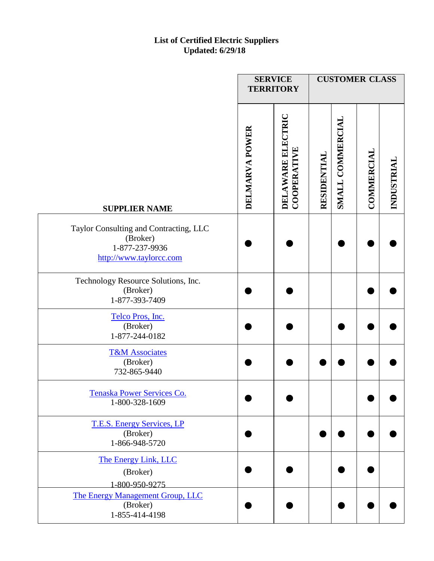|                                                                                                 | <b>SERVICE</b><br><b>TERRITORY</b> |                                  |             | <b>CUSTOMER CLASS</b> |                   |            |
|-------------------------------------------------------------------------------------------------|------------------------------------|----------------------------------|-------------|-----------------------|-------------------|------------|
| <b>SUPPLIER NAME</b>                                                                            | DELMARVA POWER                     | DELAWARE ELECTRIC<br>COOPERATIVE | RESIDENTIAL | SMALL COMMERCIAL      | <b>COMMERCIAL</b> | INDUSTRIAL |
| Taylor Consulting and Contracting, LLC<br>(Broker)<br>1-877-237-9936<br>http://www.taylorcc.com |                                    |                                  |             |                       |                   |            |
| Technology Resource Solutions, Inc.<br>(Broker)<br>1-877-393-7409                               |                                    |                                  |             |                       |                   |            |
| Telco Pros, Inc.<br>(Broker)<br>1-877-244-0182                                                  |                                    |                                  |             |                       |                   |            |
| <b>T&amp;M Associates</b><br>(Broker)<br>732-865-9440                                           |                                    |                                  |             |                       |                   |            |
| Tenaska Power Services Co.<br>1-800-328-1609                                                    |                                    |                                  |             |                       |                   |            |
| T.E.S. Energy Services, LP<br>(Broker)<br>1-866-948-5720                                        |                                    |                                  |             |                       |                   |            |
| The Energy Link, LLC<br>(Broker)<br>1-800-950-9275                                              |                                    |                                  |             |                       |                   |            |
| The Energy Management Group, LLC<br>(Broker)<br>1-855-414-4198                                  |                                    |                                  |             |                       |                   |            |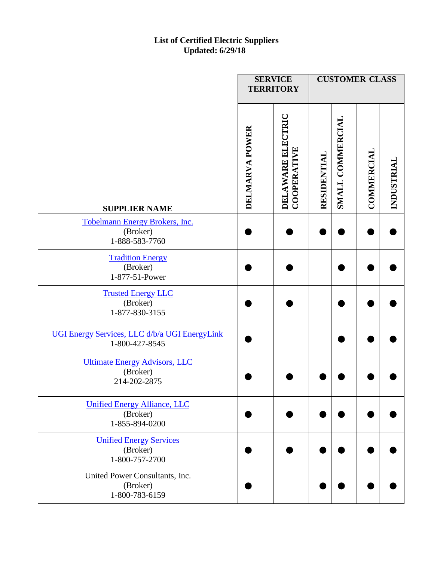|                                                                   | <b>SERVICE</b><br><b>TERRITORY</b> |                                         | <b>CUSTOMER CLASS</b>           |                   |            |
|-------------------------------------------------------------------|------------------------------------|-----------------------------------------|---------------------------------|-------------------|------------|
| <b>SUPPLIER NAME</b>                                              | DELMARVA POWER                     | DELAWARE ELECTRIC<br><b>COOPERATIVE</b> | SMALL COMMERCIAL<br>RESIDENTIAL | <b>COMMERCIAL</b> | INDUSTRIAL |
| Tobelmann Energy Brokers, Inc.<br>(Broker)<br>1-888-583-7760      |                                    |                                         |                                 |                   |            |
| <b>Tradition Energy</b><br>(Broker)<br>1-877-51-Power             |                                    |                                         |                                 |                   |            |
| <b>Trusted Energy LLC</b><br>(Broker)<br>1-877-830-3155           |                                    |                                         |                                 |                   |            |
| UGI Energy Services, LLC d/b/a UGI EnergyLink<br>1-800-427-8545   |                                    |                                         |                                 |                   |            |
| <b>Ultimate Energy Advisors, LLC</b><br>(Broker)<br>214-202-2875  |                                    |                                         |                                 |                   |            |
| <b>Unified Energy Alliance, LLC</b><br>(Broker)<br>1-855-894-0200 |                                    |                                         |                                 |                   |            |
| <b>Unified Energy Services</b><br>(Broker)<br>1-800-757-2700      |                                    |                                         |                                 |                   |            |
| United Power Consultants, Inc.<br>(Broker)<br>1-800-783-6159      |                                    |                                         |                                 |                   |            |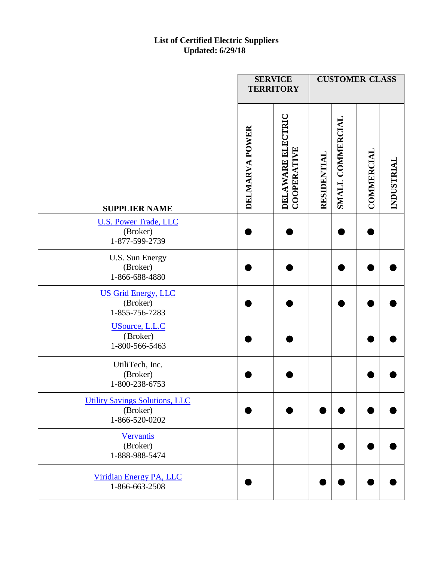|                                                                     | <b>SERVICE</b><br><b>TERRITORY</b> |                                         | <b>CUSTOMER CLASS</b> |                  |                   |            |  |
|---------------------------------------------------------------------|------------------------------------|-----------------------------------------|-----------------------|------------------|-------------------|------------|--|
| <b>SUPPLIER NAME</b>                                                | DELMARVA POWER                     | DELAWARE ELECTRIC<br><b>COOPERATIVE</b> | RESIDENTIAL           | SMALL COMMERCIAL | <b>COMMERCIAL</b> | INDUSTRIAL |  |
| <b>U.S. Power Trade, LLC</b><br>(Broker)<br>1-877-599-2739          |                                    |                                         |                       |                  |                   |            |  |
| U.S. Sun Energy<br>(Broker)<br>1-866-688-4880                       |                                    |                                         |                       |                  |                   |            |  |
| <b>US Grid Energy, LLC</b><br>(Broker)<br>1-855-756-7283            |                                    |                                         |                       |                  |                   |            |  |
| <b>USource</b> , L.L.C<br>(Broker)<br>1-800-566-5463                |                                    |                                         |                       |                  |                   |            |  |
| UtiliTech, Inc.<br>(Broker)<br>1-800-238-6753                       |                                    |                                         |                       |                  |                   |            |  |
| <b>Utility Savings Solutions, LLC</b><br>(Broker)<br>1-866-520-0202 |                                    |                                         |                       |                  |                   |            |  |
| Vervantis<br>(Broker)<br>1-888-988-5474                             |                                    |                                         |                       |                  |                   |            |  |
| Viridian Energy PA, LLC<br>1-866-663-2508                           |                                    |                                         |                       |                  |                   |            |  |